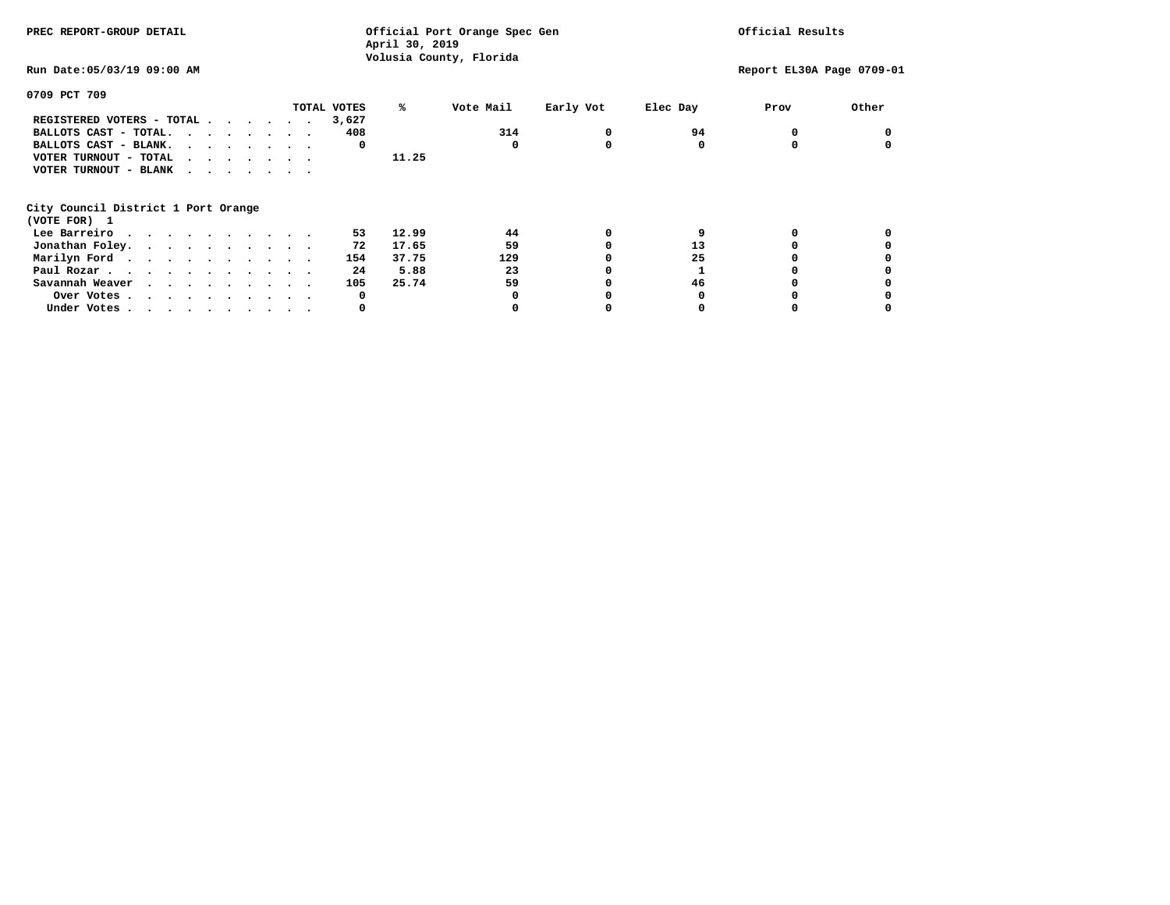| PREC REPORT-GROUP DETAIL            |              | Official Port Orange Spec Gen<br>April 30, 2019 |           |          |                           | Official Results |  |  |
|-------------------------------------|--------------|-------------------------------------------------|-----------|----------|---------------------------|------------------|--|--|
| Run Date: 05/03/19 09:00 AM         |              | Volusia County, Florida                         |           |          | Report EL30A Page 0709-01 |                  |  |  |
| 0709 PCT 709                        |              |                                                 |           |          |                           |                  |  |  |
| TOTAL VOTES                         | %ะ           | Vote Mail                                       | Early Vot | Elec Day | Prov                      | Other            |  |  |
| REGISTERED VOTERS - TOTAL           | 3,627        |                                                 |           |          |                           |                  |  |  |
| BALLOTS CAST - TOTAL.               | 408          | 314                                             | 0         | 94       |                           |                  |  |  |
| BALLOTS CAST - BLANK.               | 0            | 0                                               | 0         | 0        |                           |                  |  |  |
| VOTER TURNOUT - TOTAL<br>$\cdots$   | 11.25        |                                                 |           |          |                           |                  |  |  |
| VOTER TURNOUT - BLANK               |              |                                                 |           |          |                           |                  |  |  |
| City Council District 1 Port Orange |              |                                                 |           |          |                           |                  |  |  |
| (VOTE FOR) 1                        |              |                                                 |           |          |                           |                  |  |  |
| Lee Barreiro                        | 12.99<br>53. | 44                                              | 0         |          |                           |                  |  |  |
| Jonathan Foley.                     | 17.65<br>72  | 59                                              |           | 13       |                           |                  |  |  |
| Marilyn Ford                        | 37.75<br>154 | 129                                             |           | 25       |                           |                  |  |  |
| Paul Rozar.                         | 5.88<br>24   | 23                                              |           |          |                           |                  |  |  |
| Savannah Weaver                     | 25.74<br>105 | 59                                              |           | 46       |                           |                  |  |  |
| Over Votes.                         | 0            |                                                 |           |          |                           |                  |  |  |
| Under Votes                         | 0            |                                                 |           |          |                           |                  |  |  |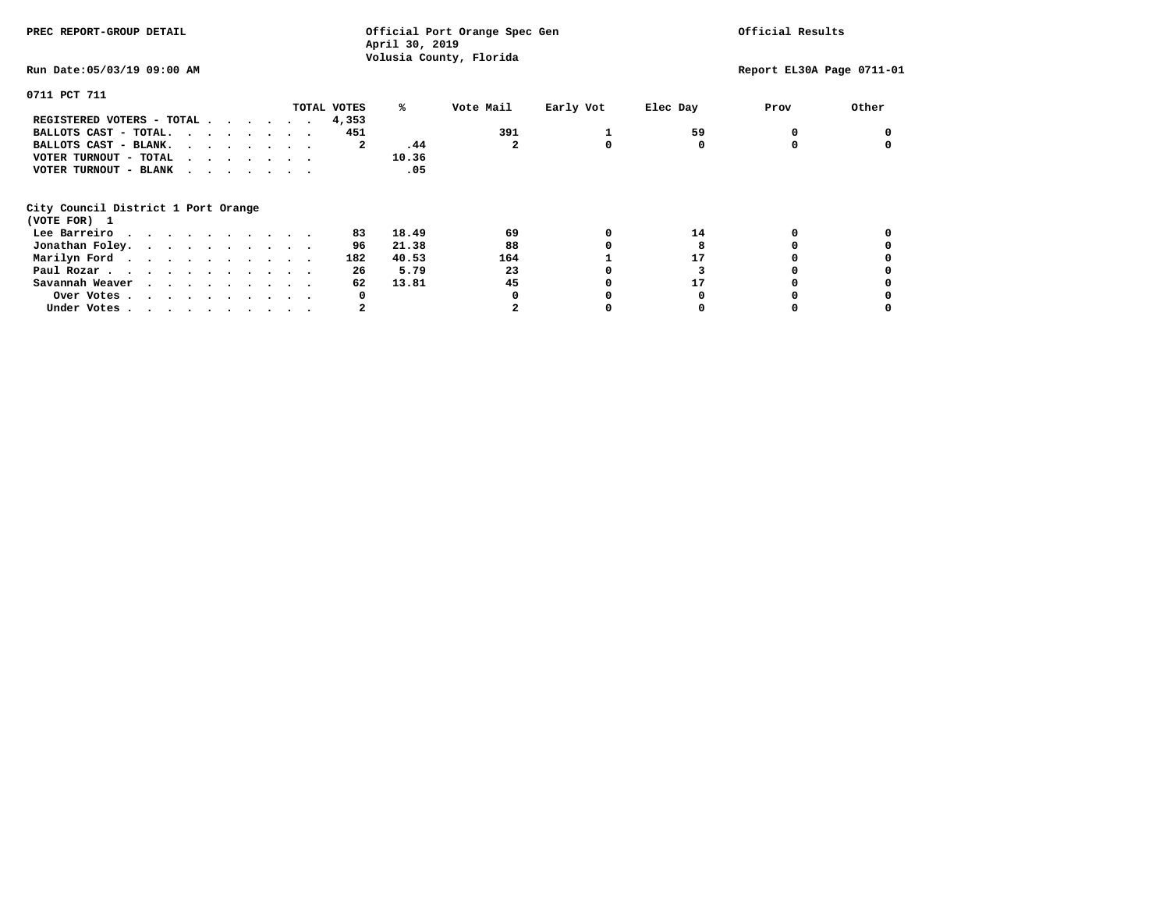| PREC REPORT-GROUP DETAIL            | Official Port Orange Spec Gen<br>April 30, 2019<br>Volusia County, Florida |              |           |          | Official Results          |       |  |
|-------------------------------------|----------------------------------------------------------------------------|--------------|-----------|----------|---------------------------|-------|--|
| Run Date: 05/03/19 09:00 AM         |                                                                            |              |           |          | Report EL30A Page 0711-01 |       |  |
| 0711 PCT 711                        |                                                                            |              |           |          |                           |       |  |
| TOTAL VOTES                         | %ะ                                                                         | Vote Mail    | Early Vot | Elec Day | Prov                      | Other |  |
| REGISTERED VOTERS - TOTAL<br>4,353  |                                                                            |              |           |          |                           |       |  |
| BALLOTS CAST - TOTAL.               | 451                                                                        | 391          |           | 59       |                           |       |  |
| BALLOTS CAST - BLANK.               | .44<br>2                                                                   | $\mathbf{2}$ | 0         | 0        |                           |       |  |
| VOTER TURNOUT - TOTAL<br>$\cdots$   | 10.36                                                                      |              |           |          |                           |       |  |
| VOTER TURNOUT - BLANK               | .05                                                                        |              |           |          |                           |       |  |
| City Council District 1 Port Orange |                                                                            |              |           |          |                           |       |  |
| (VOTE FOR) 1                        |                                                                            |              |           |          |                           |       |  |
| Lee Barreiro                        | 18.49<br>83                                                                | 69           | 0         | 14       |                           |       |  |
| Jonathan Foley.                     | 21.38<br>96                                                                | 88           |           |          |                           |       |  |
| Marilyn Ford.                       | 182<br>40.53                                                               | 164          |           | 17       |                           |       |  |
| Paul Rozar.                         | 5.79<br>26                                                                 | 23           |           |          |                           |       |  |
| Savannah Weaver                     | 13.81<br>62                                                                | 45           |           | 17       |                           |       |  |
| Over Votes.                         | 0                                                                          | <sup>0</sup> |           |          |                           |       |  |
| Under Votes                         | 2                                                                          |              |           |          |                           |       |  |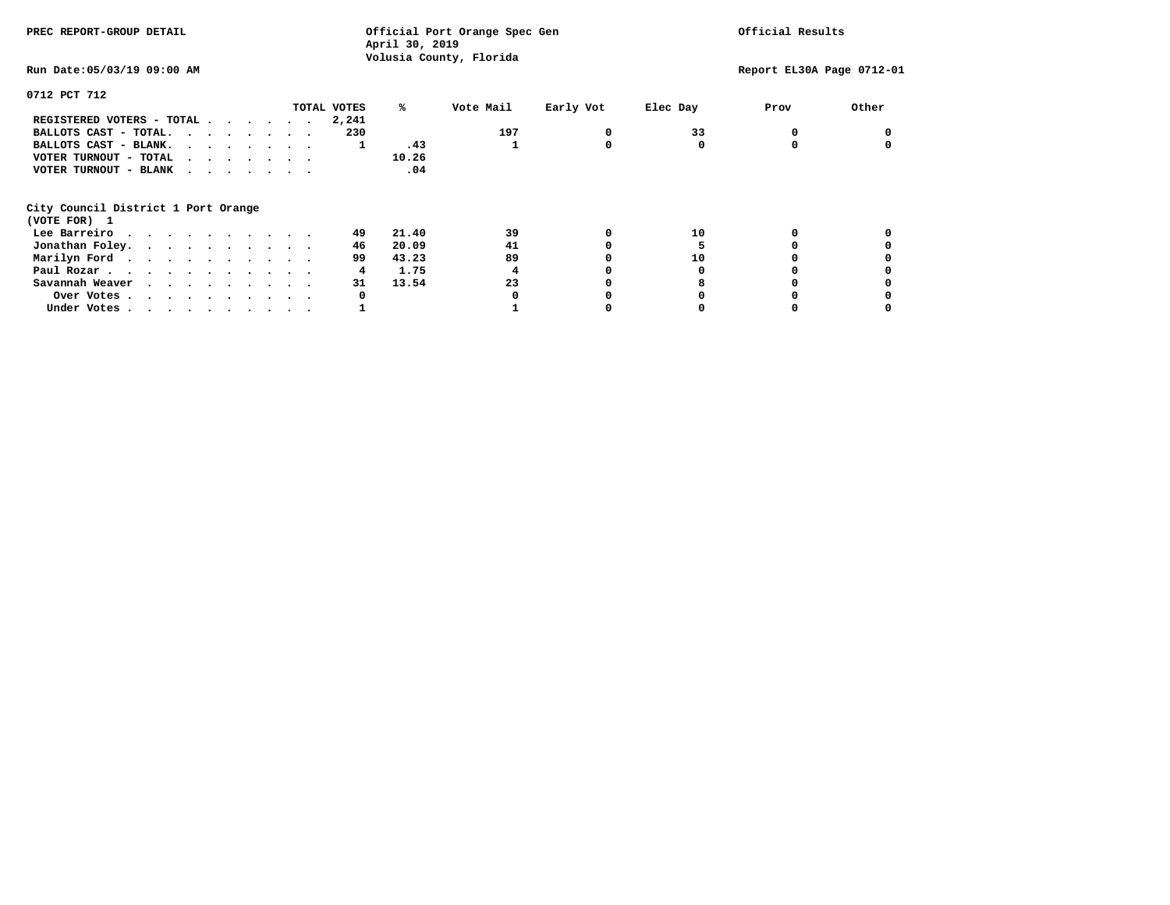| PREC REPORT-GROUP DETAIL            | Official Port Orange Spec Gen<br>April 30, 2019<br>Volusia County, Florida |           |           |          | Official Results          |       |  |
|-------------------------------------|----------------------------------------------------------------------------|-----------|-----------|----------|---------------------------|-------|--|
| Run Date: 05/03/19 09:00 AM         |                                                                            |           |           |          | Report EL30A Page 0712-01 |       |  |
| 0712 PCT 712                        |                                                                            |           |           |          |                           |       |  |
| TOTAL VOTES                         | %ะ                                                                         | Vote Mail | Early Vot | Elec Day | Prov                      | Other |  |
| REGISTERED VOTERS - TOTAL<br>2,241  |                                                                            |           |           |          |                           |       |  |
| BALLOTS CAST - TOTAL.               | 230                                                                        | 197       | 0         | 33       |                           |       |  |
| BALLOTS CAST - BLANK.               | .43<br>1                                                                   |           | 0         | 0        |                           |       |  |
| VOTER TURNOUT - TOTAL<br>$\cdots$   | 10.26                                                                      |           |           |          |                           |       |  |
| VOTER TURNOUT - BLANK               | .04                                                                        |           |           |          |                           |       |  |
| City Council District 1 Port Orange |                                                                            |           |           |          |                           |       |  |
| (VOTE FOR) 1                        |                                                                            |           |           |          |                           |       |  |
| Lee Barreiro                        | 21.40<br>49                                                                | 39        | 0         | 10       |                           |       |  |
| Jonathan Foley.                     | 46<br>20.09                                                                | 41        |           |          |                           |       |  |
| Marilyn Ford.                       | 43.23<br>99                                                                | 89        |           | 10       |                           |       |  |
| Paul Rozar.                         | 1.75<br>4                                                                  | 4         |           |          |                           |       |  |
| Savannah Weaver                     | 31<br>13.54                                                                | 23        |           |          |                           |       |  |
| Over Votes.                         | 0                                                                          | O         |           |          |                           |       |  |
| Under Votes                         |                                                                            |           |           |          |                           |       |  |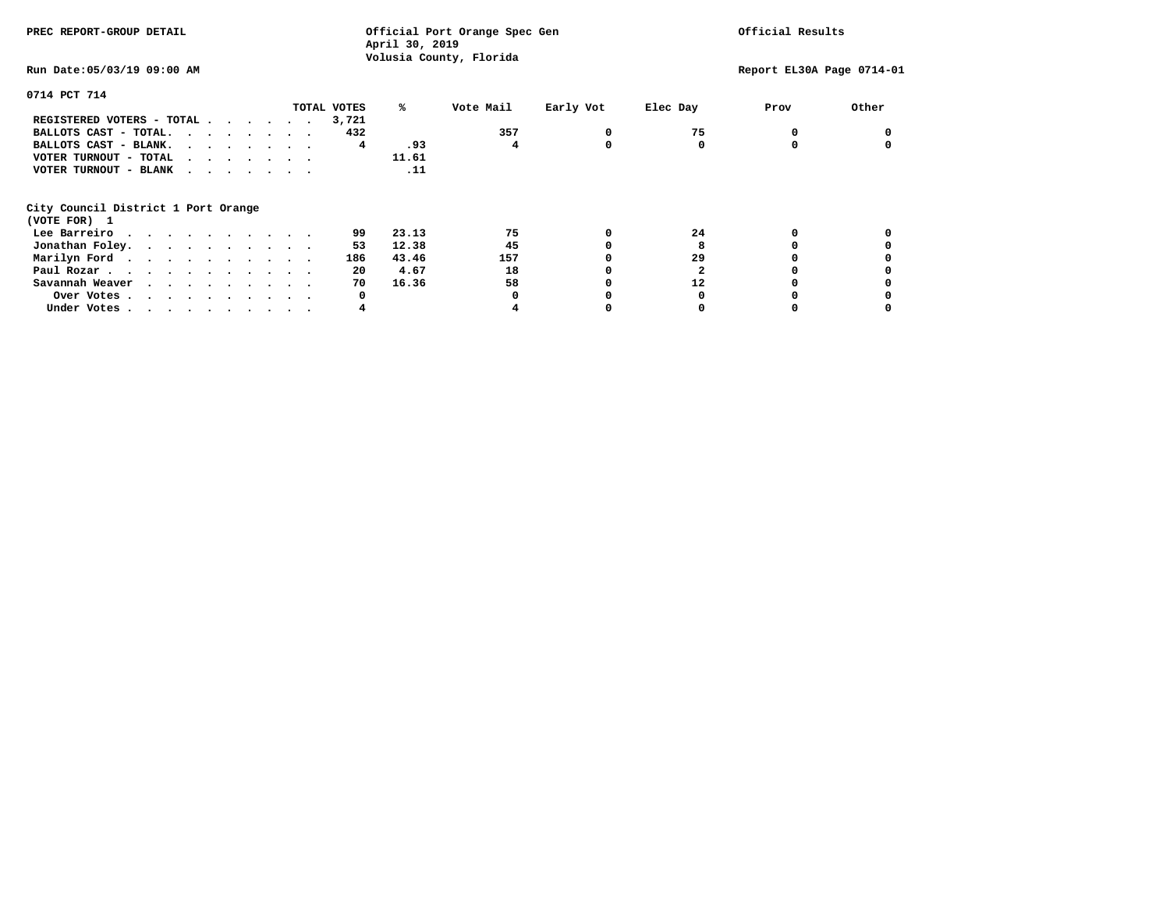| PREC REPORT-GROUP DETAIL            | Official Port Orange Spec Gen<br>April 30, 2019<br>Volusia County, Florida |              |           |          | Official Results          |       |  |
|-------------------------------------|----------------------------------------------------------------------------|--------------|-----------|----------|---------------------------|-------|--|
| Run Date: 05/03/19 09:00 AM         |                                                                            |              |           |          | Report EL30A Page 0714-01 |       |  |
| 0714 PCT 714                        |                                                                            |              |           |          |                           |       |  |
| TOTAL VOTES                         | %ะ                                                                         | Vote Mail    | Early Vot | Elec Day | Prov                      | Other |  |
| REGISTERED VOTERS - TOTAL<br>3,721  |                                                                            |              |           |          |                           |       |  |
| BALLOTS CAST - TOTAL.               | 432                                                                        | 357          | 0         | 75       |                           |       |  |
| BALLOTS CAST - BLANK.               | .93<br>4                                                                   | 4            | 0         | 0        |                           |       |  |
| VOTER TURNOUT - TOTAL<br>$\cdots$   | 11.61                                                                      |              |           |          |                           |       |  |
| VOTER TURNOUT - BLANK               | .11                                                                        |              |           |          |                           |       |  |
| City Council District 1 Port Orange |                                                                            |              |           |          |                           |       |  |
| (VOTE FOR) 1                        |                                                                            |              |           |          |                           |       |  |
| Lee Barreiro                        | 23.13<br>99                                                                | 75           | 0         | 24       |                           |       |  |
| Jonathan Foley.                     | 12.38<br>53                                                                | 45           |           | 8        |                           |       |  |
| Marilyn Ford.                       | 186<br>43.46                                                               | 157          |           | 29       |                           |       |  |
| Paul Rozar.                         | 20<br>4.67                                                                 | 18           |           |          |                           |       |  |
| Savannah Weaver                     | 70<br>16.36                                                                | 58           |           | 12       |                           |       |  |
| Over Votes.                         | 0                                                                          | <sup>0</sup> |           |          |                           |       |  |
| Under Votes                         | 4                                                                          |              |           |          |                           |       |  |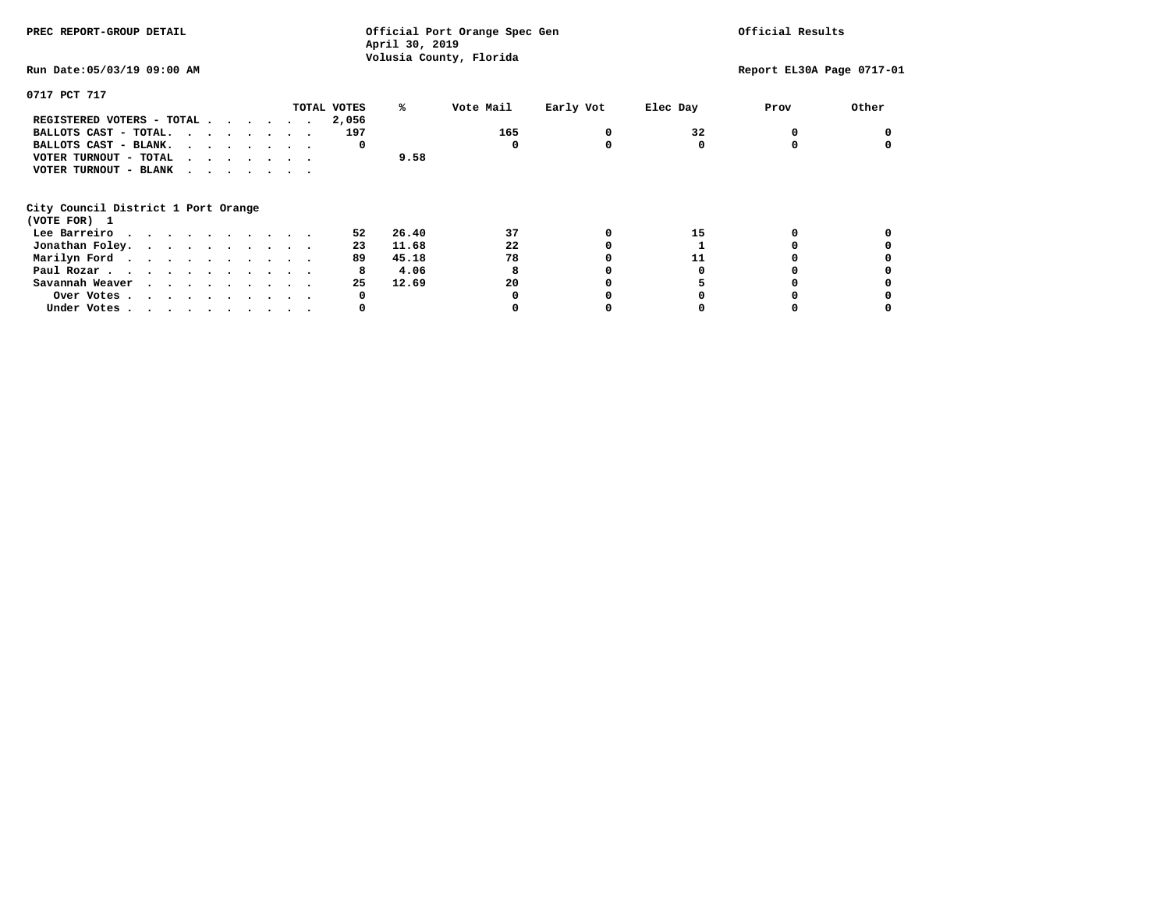| PREC REPORT-GROUP DETAIL                                    |       | Official Port Orange Spec Gen<br>April 30, 2019 |           | Official Results |                           |       |
|-------------------------------------------------------------|-------|-------------------------------------------------|-----------|------------------|---------------------------|-------|
| Run Date: 05/03/19 09:00 AM                                 |       | Volusia County, Florida                         |           |                  | Report EL30A Page 0717-01 |       |
| 0717 PCT 717                                                |       |                                                 |           |                  |                           |       |
| TOTAL VOTES                                                 | ℁     | Vote Mail                                       | Early Vot | Elec Day         | Prov                      | Other |
| REGISTERED VOTERS - TOTAL                                   | 2,056 |                                                 |           |                  |                           |       |
| BALLOTS CAST - TOTAL.                                       | 197   | 165                                             |           | 32               | 0                         |       |
| BALLOTS CAST - BLANK.                                       | 0     | O                                               |           | 0                | 0                         |       |
| VOTER TURNOUT - TOTAL $\cdot \cdot \cdot \cdot \cdot \cdot$ |       | 9.58                                            |           |                  |                           |       |
| VOTER TURNOUT - BLANK                                       |       |                                                 |           |                  |                           |       |
| City Council District 1 Port Orange                         |       |                                                 |           |                  |                           |       |
| (VOTE FOR) 1                                                |       |                                                 |           |                  |                           |       |
| Lee Barreiro                                                | 52    | 26.40<br>37                                     |           | 15               |                           |       |
| Jonathan Foley.                                             | 23    | 11.68<br>22                                     |           |                  |                           |       |
| Marilyn Ford.                                               | 89    | 78<br>45.18                                     |           | 11               |                           |       |
| Paul Rozar.                                                 | 8     | 4.06<br>8                                       |           |                  |                           |       |
| Savannah Weaver                                             | 25    | 20<br>12.69                                     |           |                  |                           |       |
| Over Votes                                                  | 0     |                                                 |           |                  |                           |       |
| Under Votes                                                 | 0     |                                                 |           |                  |                           |       |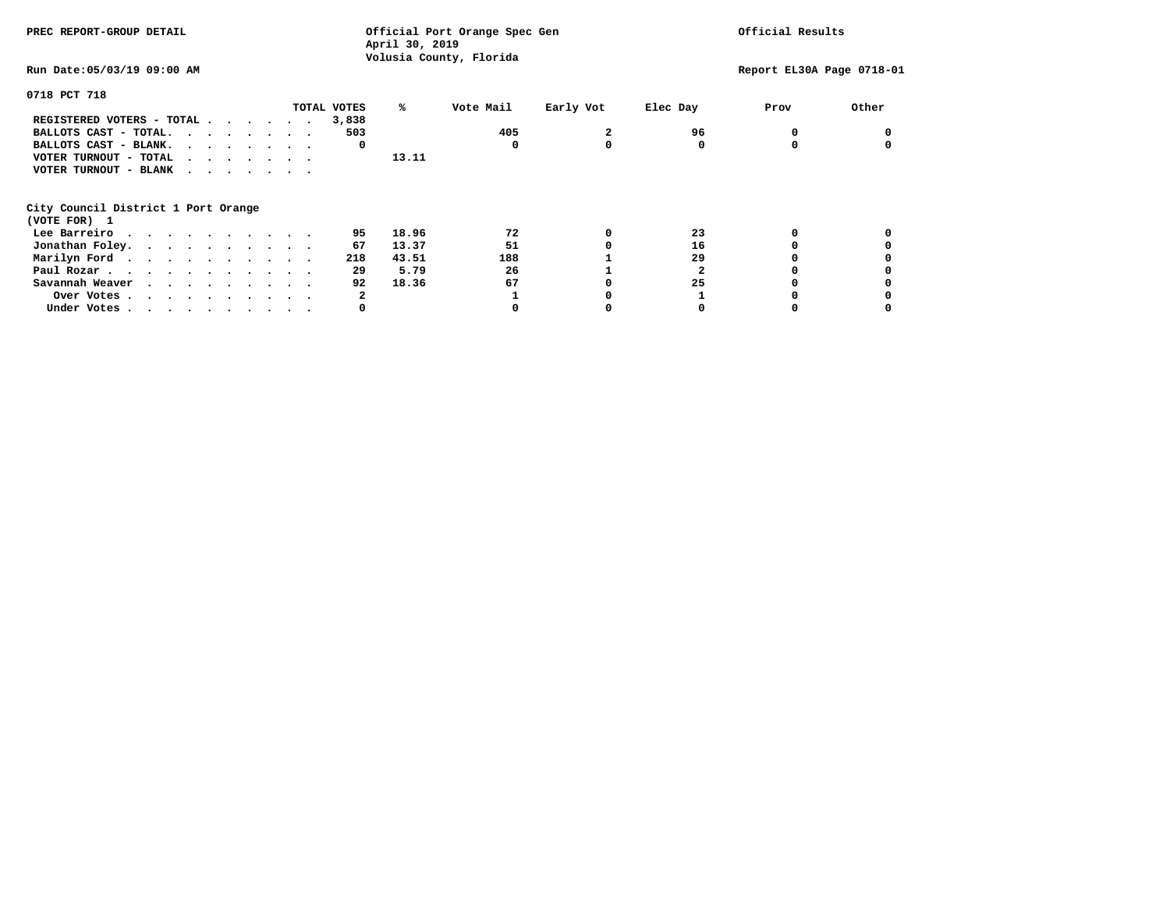| PREC REPORT-GROUP DETAIL            | Official Port Orange Spec Gen<br>April 30, 2019<br>Volusia County, Florida |           |           |          | Official Results          |       |  |
|-------------------------------------|----------------------------------------------------------------------------|-----------|-----------|----------|---------------------------|-------|--|
| Run Date: 05/03/19 09:00 AM         |                                                                            |           |           |          | Report EL30A Page 0718-01 |       |  |
| 0718 PCT 718                        |                                                                            |           |           |          |                           |       |  |
| TOTAL VOTES                         | %ะ                                                                         | Vote Mail | Early Vot | Elec Day | Prov                      | Other |  |
| REGISTERED VOTERS - TOTAL<br>3,838  |                                                                            |           |           |          |                           |       |  |
| BALLOTS CAST - TOTAL.               | 503                                                                        | 405       | 2         | 96       |                           |       |  |
| BALLOTS CAST - BLANK.               | 0                                                                          | 0         | 0         | 0        |                           |       |  |
| VOTER TURNOUT - TOTAL<br>$\cdots$   | 13.11                                                                      |           |           |          |                           |       |  |
| VOTER TURNOUT - BLANK               |                                                                            |           |           |          |                           |       |  |
| City Council District 1 Port Orange |                                                                            |           |           |          |                           |       |  |
| (VOTE FOR) 1                        |                                                                            |           |           |          |                           |       |  |
| Lee Barreiro                        | 95<br>18.96                                                                | 72        | 0         | 23       |                           |       |  |
| Jonathan Foley.                     | 13.37<br>67                                                                | 51        |           | 16       |                           |       |  |
| Marilyn Ford.                       | 218<br>43.51                                                               | 188       |           | 29       |                           |       |  |
| Paul Rozar.                         | 5.79<br>29                                                                 | 26        |           |          |                           |       |  |
| Savannah Weaver                     | 92<br>18.36                                                                | 67        |           | 25       |                           |       |  |
| Over Votes.                         | 2                                                                          |           |           |          |                           |       |  |
| Under Votes                         | 0                                                                          |           |           |          |                           |       |  |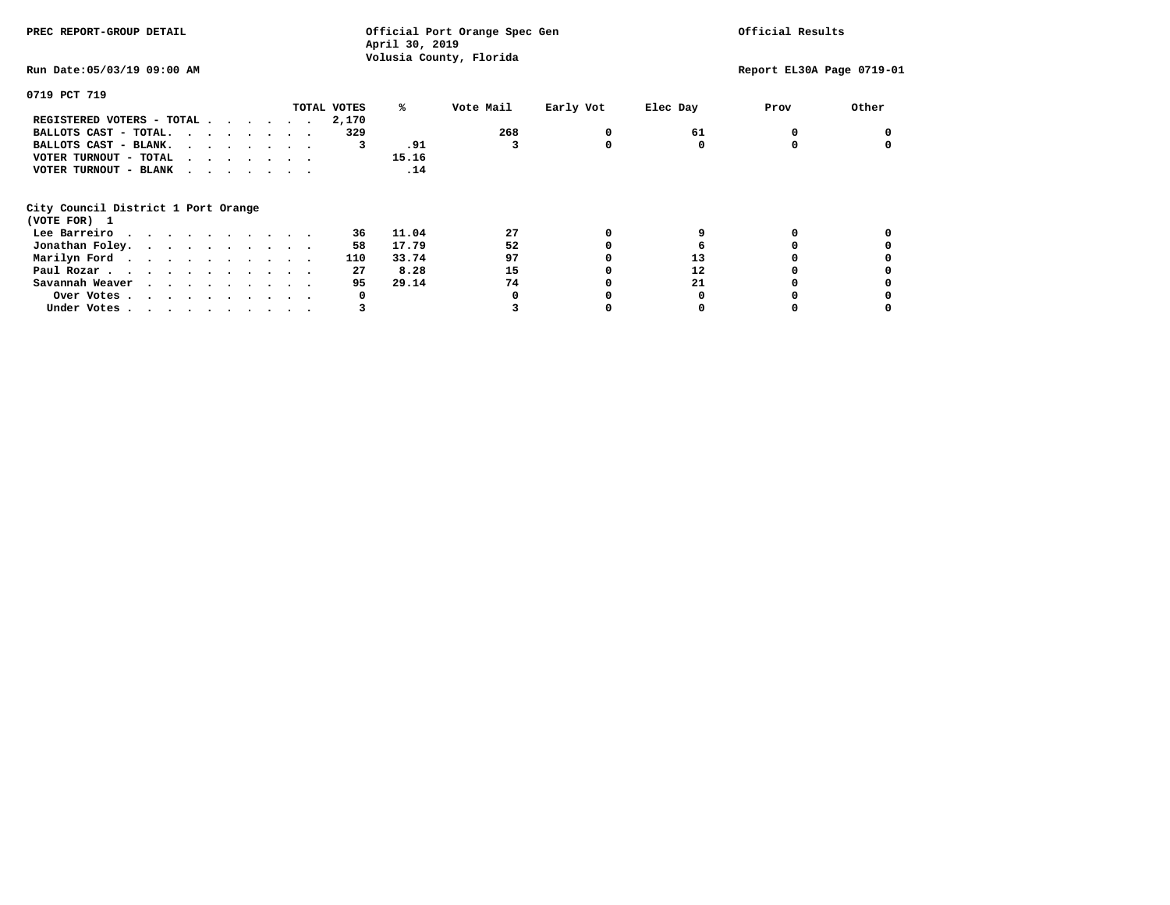| PREC REPORT-GROUP DETAIL            | Official Port Orange Spec Gen<br>April 30, 2019<br>Volusia County, Florida |           |           |          | Official Results          |       |  |
|-------------------------------------|----------------------------------------------------------------------------|-----------|-----------|----------|---------------------------|-------|--|
| Run Date: 05/03/19 09:00 AM         |                                                                            |           |           |          | Report EL30A Page 0719-01 |       |  |
| 0719 PCT 719                        |                                                                            |           |           |          |                           |       |  |
| TOTAL VOTES                         | %ะ                                                                         | Vote Mail | Early Vot | Elec Day | Prov                      | Other |  |
| REGISTERED VOTERS - TOTAL<br>2,170  |                                                                            |           |           |          |                           |       |  |
| BALLOTS CAST - TOTAL.               | 329                                                                        | 268       | 0         | 61       |                           |       |  |
| BALLOTS CAST - BLANK.               | .91<br>3                                                                   |           | 0         | 0        |                           |       |  |
| VOTER TURNOUT - TOTAL<br>$\cdots$   | 15.16                                                                      |           |           |          |                           |       |  |
| VOTER TURNOUT - BLANK               | .14                                                                        |           |           |          |                           |       |  |
| City Council District 1 Port Orange |                                                                            |           |           |          |                           |       |  |
| (VOTE FOR) 1                        |                                                                            |           |           |          |                           |       |  |
| Lee Barreiro                        | 11.04<br>36                                                                | 27        | 0         |          |                           |       |  |
| Jonathan Foley.                     | 17.79<br>58                                                                | 52        | 0         | 6        |                           |       |  |
| Marilyn Ford.<br>110                | 33.74                                                                      | 97        |           | 13       |                           |       |  |
| Paul Rozar.                         | 27<br>8.28                                                                 | 15        |           | 12       |                           |       |  |
| Savannah Weaver                     | 95<br>29.14                                                                | 74        |           | 21       |                           |       |  |
| Over Votes.                         | 0                                                                          | O         |           |          |                           |       |  |
| Under Votes                         | 3                                                                          |           |           |          |                           |       |  |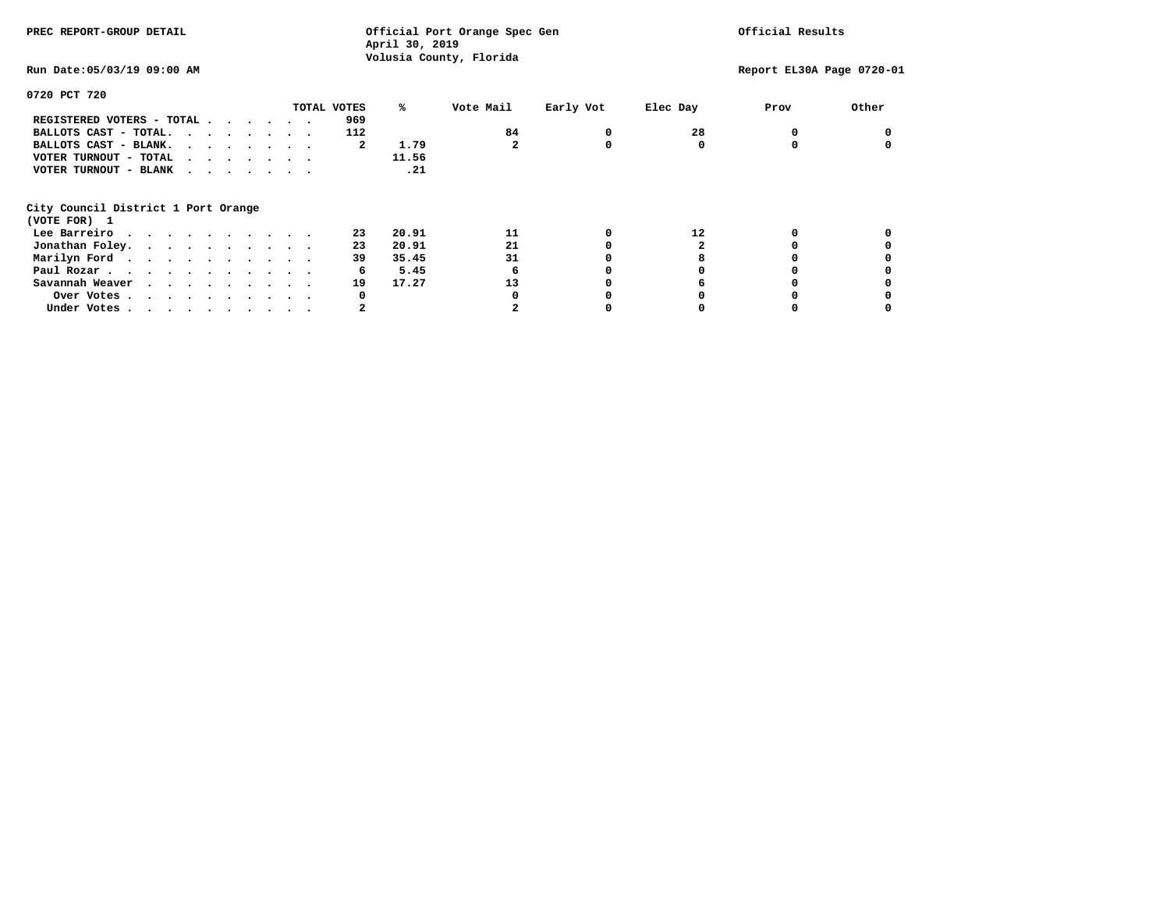**April 30, 2019 Volusia County, Florida Run Date:05/03/19 09:00 AM Report EL30A Page 0720-01 0720 PCT 720 TOTAL VOTES % Vote Mail Early Vot Elec Day Prov Other REGISTERED VOTERS - TOTAL . . . . . . 969 BALLOTS CAST - TOTAL.** . . . . . . 112 84 0 28 0 0 **BALLOTS CAST - BLANK. . . . . . . . 2** 1.79 2 0 0 0 0 0 0  **VOTER TURNOUT - TOTAL . . . . . . . 11.56**  $.21$  **VOTER TURNOUT - BLANK . . . . . . . City Council District 1 Port Orange (VOTE FOR) 1 Lee Barreiro . . . . . . . . . 23 20.91 11 11 0 12 0 0 0**  $\mathbf 0$  **Jonathan Foley. . . . . . . . . 23 20.91 21 0 2** 0<br> **Marilyn Ford. . . . . . . . . . 39 35.45** 31 0 8 0 **Marilyn Ford . . . . . . . . . 39 35.45** 31 0 8 0 0 0  **Paul Rozar . . . . . . . . . . . 6 5.45 6 0 0 0 0 Savannah Weaver . . . . . . . . . 19 17.27 13 0 6 0 0 Over Votes . . . . . . . . . . 0 0 0 0 0 0**  $\mathbf{o}$ **Under Votes . . . . . . . . . . . 2** 2 0 0 0 0

**PREC REPORT-GROUP DETAIL Official Port Orange Spec Gen Official Results**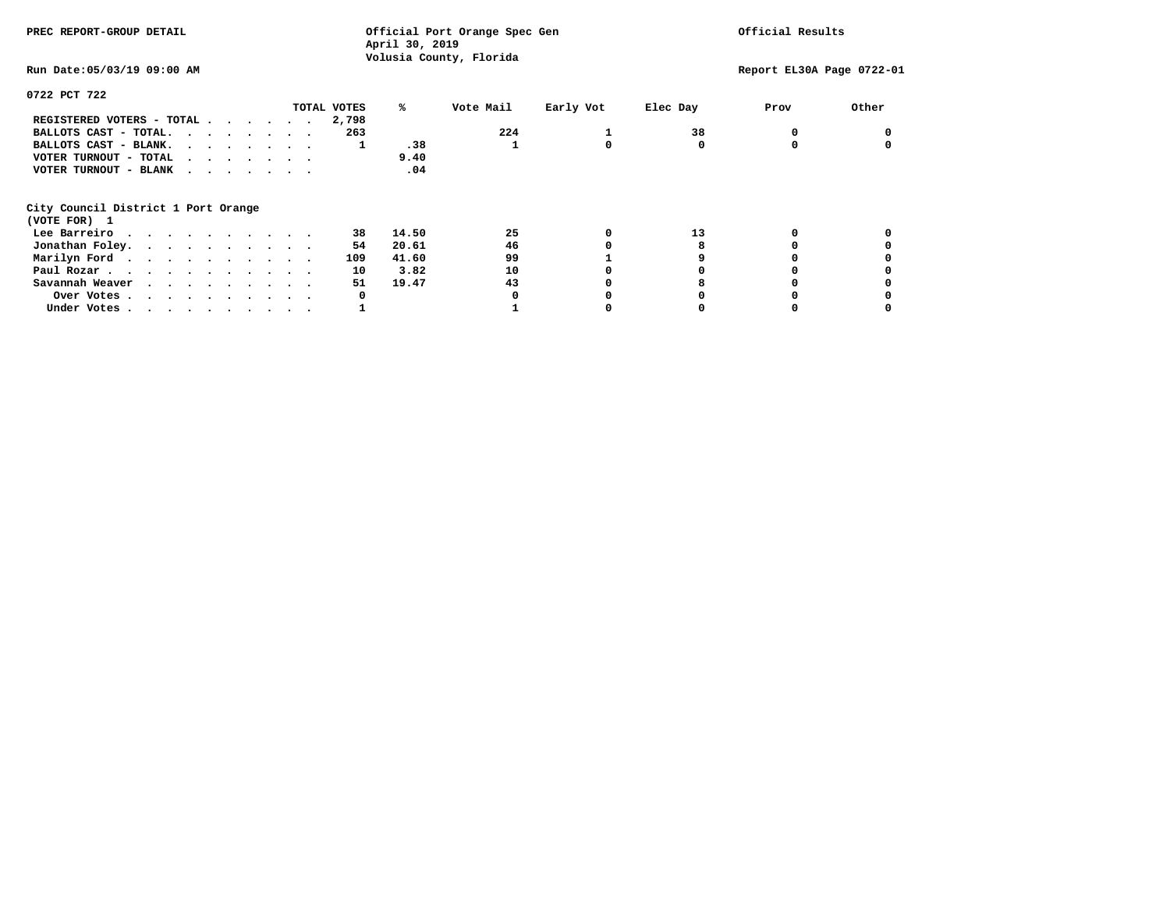| PREC REPORT-GROUP DETAIL            |  |             | Official Port Orange Spec Gen<br>April 30, 2019 |                         |           |          | Official Results          |       |  |
|-------------------------------------|--|-------------|-------------------------------------------------|-------------------------|-----------|----------|---------------------------|-------|--|
| Run Date: 05/03/19 09:00 AM         |  |             |                                                 | Volusia County, Florida |           |          | Report EL30A Page 0722-01 |       |  |
| 0722 PCT 722                        |  |             |                                                 |                         |           |          |                           |       |  |
|                                     |  | TOTAL VOTES | %∗                                              | Vote Mail               | Early Vot | Elec Day | Prov                      | Other |  |
| REGISTERED VOTERS - TOTAL           |  | 2,798       |                                                 |                         |           |          |                           |       |  |
| BALLOTS CAST - TOTAL.               |  | 263         |                                                 | 224                     |           | 38       |                           |       |  |
| BALLOTS CAST - BLANK.               |  |             | .38                                             |                         |           |          |                           |       |  |
| VOTER TURNOUT - TOTAL               |  |             | 9.40                                            |                         |           |          |                           |       |  |
| VOTER TURNOUT - BLANK               |  |             | .04                                             |                         |           |          |                           |       |  |
| City Council District 1 Port Orange |  |             |                                                 |                         |           |          |                           |       |  |
| (VOTE FOR) 1                        |  |             |                                                 |                         |           |          |                           |       |  |
| Lee Barreiro                        |  | 38          | 14.50                                           | 25                      |           | 13       |                           |       |  |
| Jonathan Foley.                     |  | 54          | 20.61                                           | 46                      |           |          |                           |       |  |
| Marilyn Ford.                       |  | 109         | 41.60                                           | 99                      |           |          |                           |       |  |
| Paul Rozar.                         |  | 10          | 3.82                                            | 10                      |           |          |                           |       |  |
| Savannah Weaver                     |  | 51          | 19.47                                           | 43                      |           |          |                           |       |  |
| Over Votes                          |  | 0           |                                                 |                         |           |          |                           |       |  |
| Under Votes                         |  |             |                                                 |                         |           |          |                           |       |  |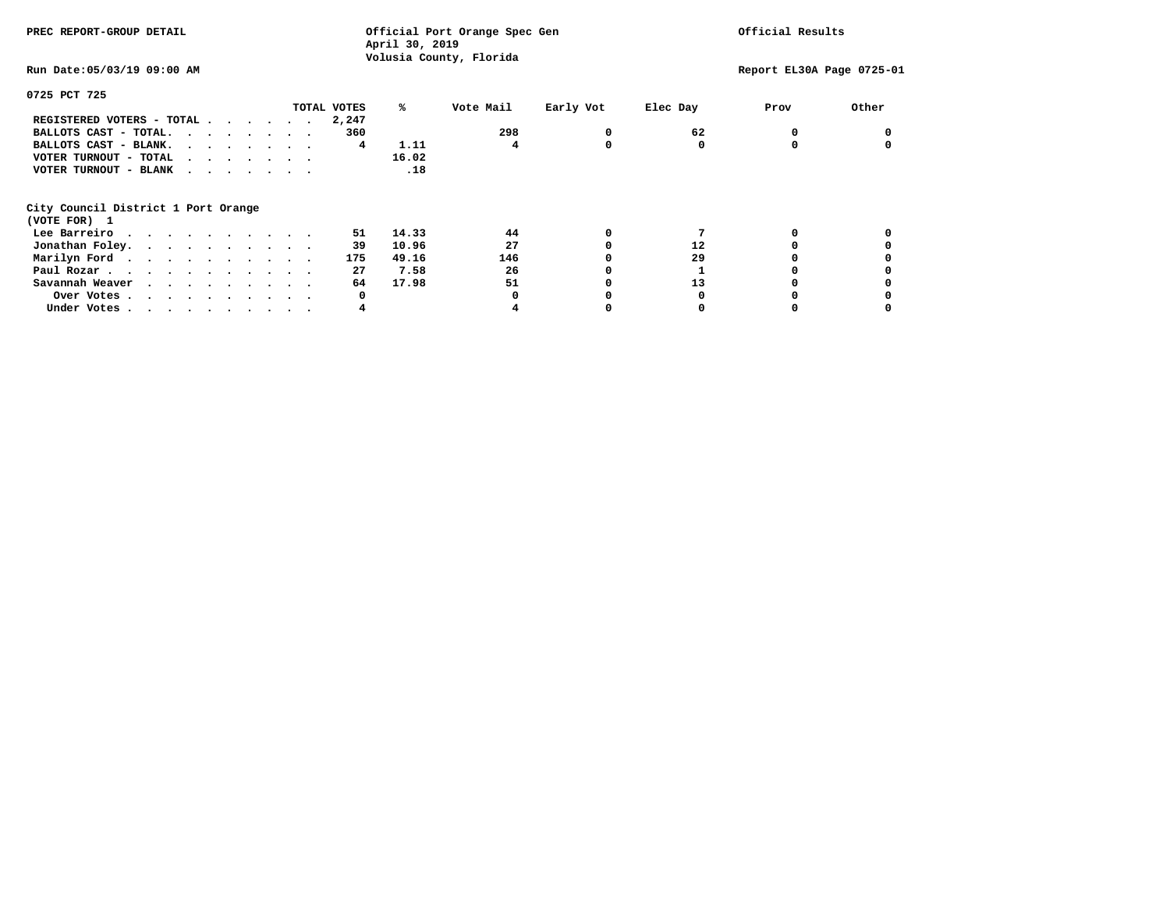| PREC REPORT-GROUP DETAIL            | Official Port Orange Spec Gen<br>April 30, 2019<br>Volusia County, Florida |           |           |          | Official Results          |       |  |
|-------------------------------------|----------------------------------------------------------------------------|-----------|-----------|----------|---------------------------|-------|--|
| Run Date: 05/03/19 09:00 AM         |                                                                            |           |           |          | Report EL30A Page 0725-01 |       |  |
| 0725 PCT 725                        |                                                                            |           |           |          |                           |       |  |
| TOTAL VOTES                         | %ะ                                                                         | Vote Mail | Early Vot | Elec Day | Prov                      | Other |  |
| REGISTERED VOTERS - TOTAL<br>2,247  |                                                                            |           |           |          |                           |       |  |
| BALLOTS CAST - TOTAL.               | 360                                                                        | 298       | 0         | 62       |                           |       |  |
| BALLOTS CAST - BLANK.               | 1.11<br>4                                                                  | 4         | 0         | 0        |                           |       |  |
| VOTER TURNOUT - TOTAL<br>$\cdots$   | 16.02                                                                      |           |           |          |                           |       |  |
| VOTER TURNOUT - BLANK               | .18                                                                        |           |           |          |                           |       |  |
| City Council District 1 Port Orange |                                                                            |           |           |          |                           |       |  |
| (VOTE FOR) 1                        |                                                                            |           |           |          |                           |       |  |
| Lee Barreiro                        | 14.33<br>51                                                                | 44        | 0         |          |                           |       |  |
| Jonathan Foley.                     | 10.96<br>39                                                                | 27        | 0         | 12       |                           |       |  |
| Marilyn Ford.                       | 175<br>49.16                                                               | 146       |           | 29       |                           |       |  |
| Paul Rozar.                         | 27<br>7.58                                                                 | 26        |           |          |                           |       |  |
| Savannah Weaver                     | 64<br>17.98                                                                | 51        |           | 13       |                           |       |  |
| Over Votes.                         | 0                                                                          | O         |           |          |                           |       |  |
| Under Votes                         | 4                                                                          |           |           |          |                           |       |  |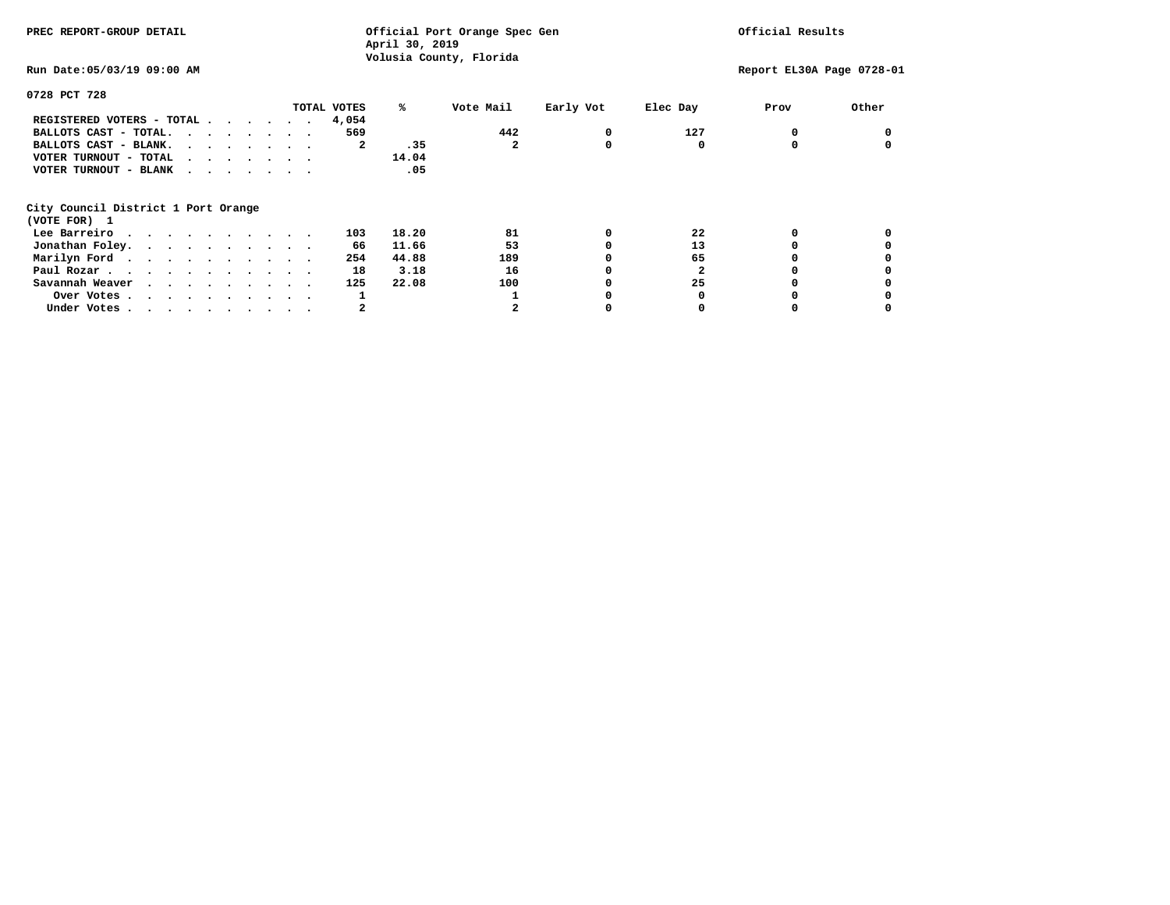| PREC REPORT-GROUP DETAIL            | Official Port Orange Spec Gen<br>April 30, 2019<br>Volusia County, Florida |           |           |          | Official Results          |       |  |
|-------------------------------------|----------------------------------------------------------------------------|-----------|-----------|----------|---------------------------|-------|--|
| Run Date: 05/03/19 09:00 AM         |                                                                            |           |           |          | Report EL30A Page 0728-01 |       |  |
| 0728 PCT 728                        |                                                                            |           |           |          |                           |       |  |
| TOTAL VOTES                         | %ะ                                                                         | Vote Mail | Early Vot | Elec Day | Prov                      | Other |  |
| REGISTERED VOTERS - TOTAL<br>4,054  |                                                                            |           |           |          |                           |       |  |
| BALLOTS CAST - TOTAL.               | 569                                                                        | 442       | 0         | 127      |                           |       |  |
| BALLOTS CAST - BLANK.               | .35<br>2                                                                   | 2         | 0         | 0        |                           |       |  |
| VOTER TURNOUT - TOTAL<br>$\cdots$   | 14.04                                                                      |           |           |          |                           |       |  |
| VOTER TURNOUT - BLANK               | .05                                                                        |           |           |          |                           |       |  |
| City Council District 1 Port Orange |                                                                            |           |           |          |                           |       |  |
| (VOTE FOR) 1                        |                                                                            |           |           |          |                           |       |  |
| Lee Barreiro                        | 18.20<br>103                                                               | 81        | 0         | 22       |                           |       |  |
| Jonathan Foley.                     | 11.66<br>66                                                                | 53        | 0         | 13       |                           |       |  |
| Marilyn Ford.                       | 44.88<br>254                                                               | 189       |           | 65       |                           |       |  |
| Paul Rozar.                         | 3.18<br>18                                                                 | 16        |           | 2        |                           |       |  |
| Savannah Weaver                     | 22.08<br>125                                                               | 100       |           | 25       |                           |       |  |
| Over Votes.                         | 1                                                                          |           |           |          |                           |       |  |
| Under Votes                         | 2                                                                          |           |           | 0        |                           |       |  |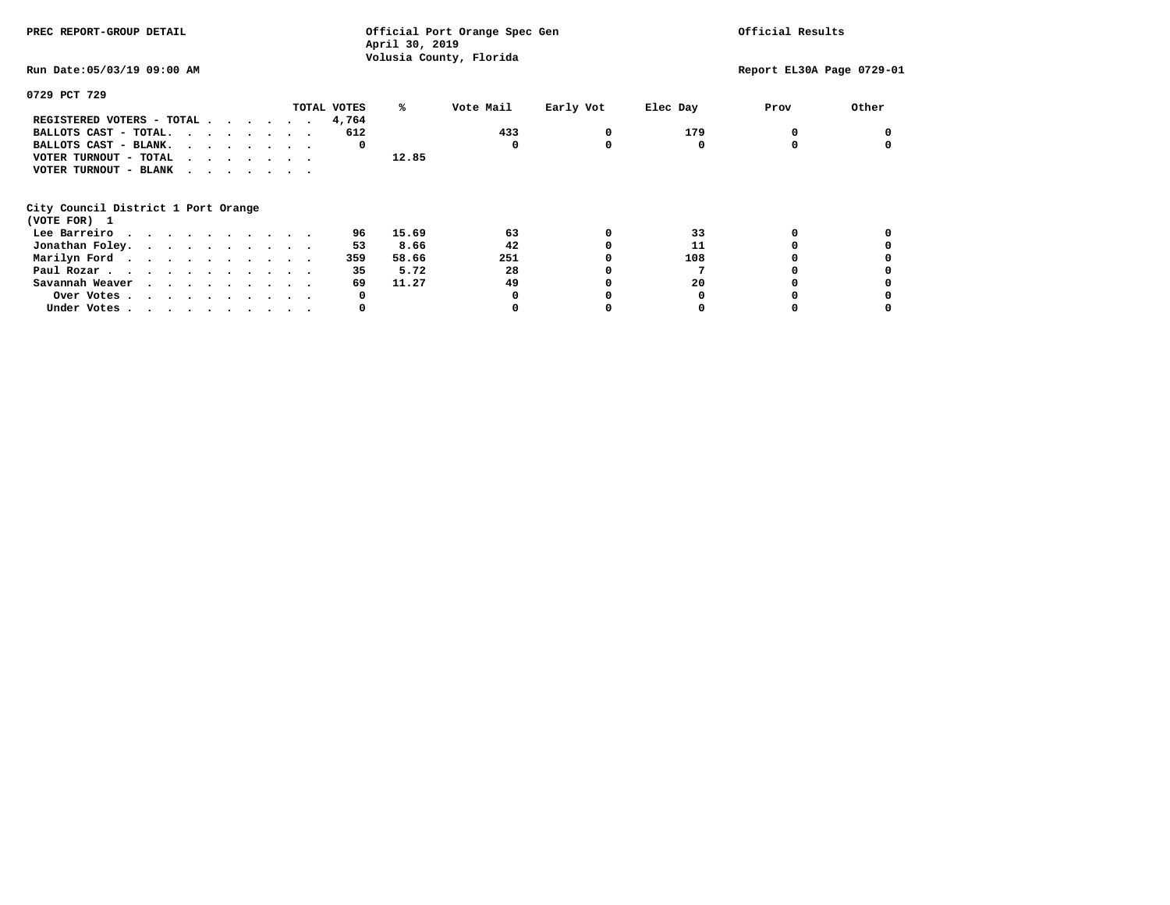| PREC REPORT-GROUP DETAIL            |              | Official Port Orange Spec Gen<br>April 30, 2019<br>Volusia County, Florida |           |          |                           | Official Results |  |  |
|-------------------------------------|--------------|----------------------------------------------------------------------------|-----------|----------|---------------------------|------------------|--|--|
| Run Date: 05/03/19 09:00 AM         |              |                                                                            |           |          | Report EL30A Page 0729-01 |                  |  |  |
| 0729 PCT 729                        |              |                                                                            |           |          |                           |                  |  |  |
| TOTAL VOTES                         | %ะ           | Vote Mail                                                                  | Early Vot | Elec Day | Prov                      | Other            |  |  |
| REGISTERED VOTERS - TOTAL           | 4,764        |                                                                            |           |          |                           |                  |  |  |
| BALLOTS CAST - TOTAL.               | 612          | 433                                                                        | 0         | 179      |                           |                  |  |  |
| BALLOTS CAST - BLANK.               | 0            | 0                                                                          | 0         | 0        |                           |                  |  |  |
| VOTER TURNOUT - TOTAL<br>$\cdots$   | 12.85        |                                                                            |           |          |                           |                  |  |  |
| VOTER TURNOUT - BLANK               |              |                                                                            |           |          |                           |                  |  |  |
| City Council District 1 Port Orange |              |                                                                            |           |          |                           |                  |  |  |
| (VOTE FOR) 1                        |              |                                                                            |           |          |                           |                  |  |  |
| Lee Barreiro                        | 15.69<br>96  | 63                                                                         | 0         | 33       |                           |                  |  |  |
| Jonathan Foley.                     | 8.66<br>53   | 42                                                                         |           | 11       |                           |                  |  |  |
| Marilyn Ford                        | 58.66<br>359 | 251                                                                        |           | 108      |                           |                  |  |  |
| Paul Rozar.                         | 35<br>5.72   | 28                                                                         |           |          |                           |                  |  |  |
| Savannah Weaver                     | 69<br>11.27  | 49                                                                         |           | 20       |                           |                  |  |  |
| Over Votes.                         | 0            |                                                                            |           |          |                           |                  |  |  |
| Under Votes                         | 0            |                                                                            |           |          |                           |                  |  |  |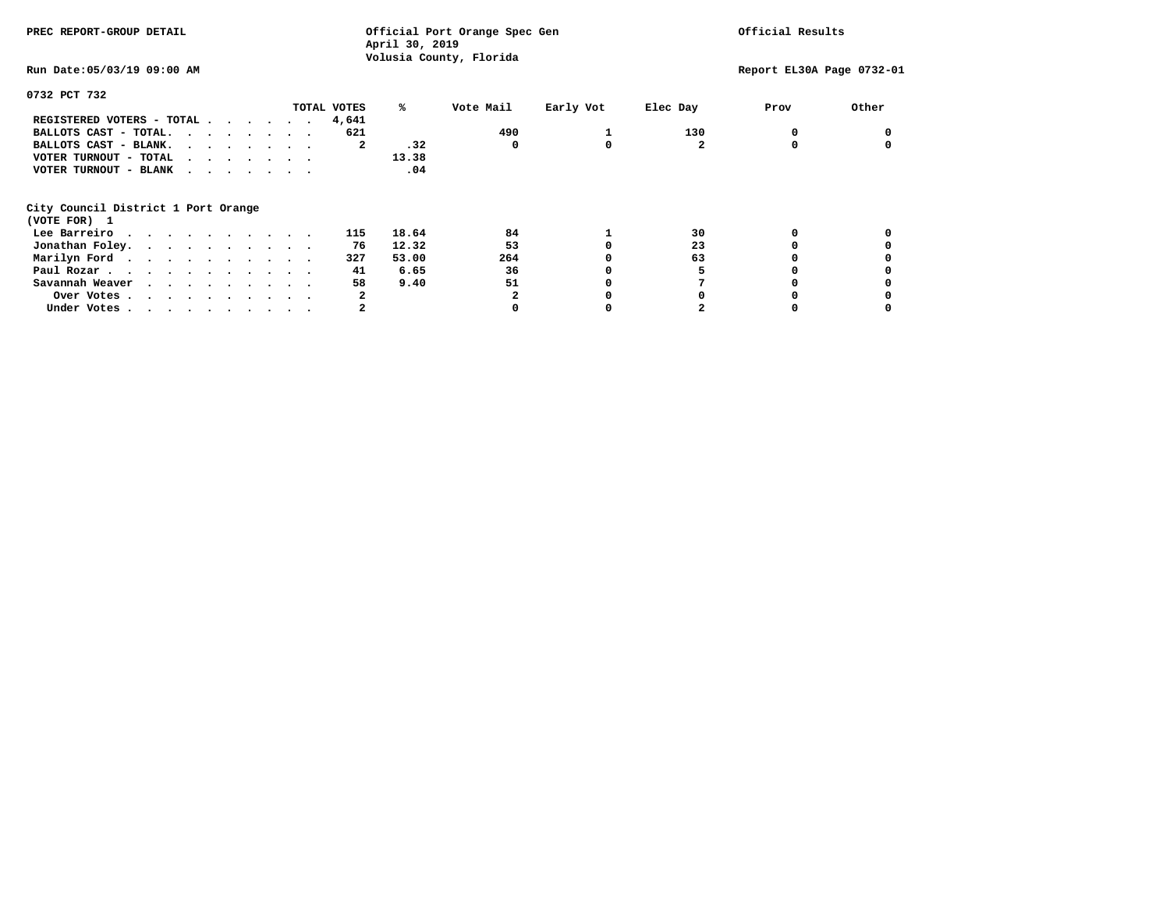| PREC REPORT-GROUP DETAIL            | Official Port Orange Spec Gen<br>April 30, 2019<br>Volusia County, Florida |           |           |              | Official Results          |       |  |
|-------------------------------------|----------------------------------------------------------------------------|-----------|-----------|--------------|---------------------------|-------|--|
| Run Date: 05/03/19 09:00 AM         |                                                                            |           |           |              | Report EL30A Page 0732-01 |       |  |
| 0732 PCT 732                        |                                                                            |           |           |              |                           |       |  |
| TOTAL VOTES                         | %ะ                                                                         | Vote Mail | Early Vot | Elec Day     | Prov                      | Other |  |
| REGISTERED VOTERS - TOTAL<br>4,641  |                                                                            |           |           |              |                           |       |  |
| BALLOTS CAST - TOTAL.               | 621                                                                        | 490       |           | 130          |                           |       |  |
| BALLOTS CAST - BLANK.               | .32<br>2                                                                   | 0         | 0         | $\mathbf{2}$ |                           |       |  |
| VOTER TURNOUT - TOTAL<br>$\cdots$   | 13.38                                                                      |           |           |              |                           |       |  |
| VOTER TURNOUT - BLANK               | .04                                                                        |           |           |              |                           |       |  |
| City Council District 1 Port Orange |                                                                            |           |           |              |                           |       |  |
| (VOTE FOR) 1                        |                                                                            |           |           |              |                           |       |  |
| Lee Barreiro                        | 18.64<br>115                                                               | 84        |           | 30           |                           |       |  |
| Jonathan Foley.                     | 12.32<br>76                                                                | 53        |           | 23           |                           |       |  |
| Marilyn Ford.                       | 53.00<br>327                                                               | 264       |           | 63           |                           |       |  |
| Paul Rozar.                         | 6.65<br>41                                                                 | 36        |           |              |                           |       |  |
| Savannah Weaver                     | 58<br>9.40                                                                 | 51        |           |              |                           |       |  |
| Over Votes.                         | 2                                                                          | 2         |           |              |                           |       |  |
| Under Votes                         | 2                                                                          |           |           |              |                           |       |  |